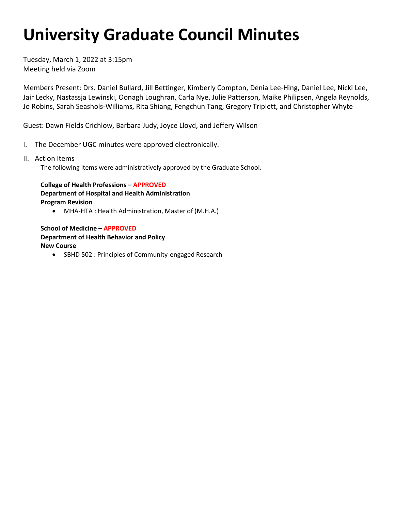## **University Graduate Council Minutes**

 Tuesday, March 1, 2022 at 3:15pm Meeting held via Zoom

 Jo Robins, Sarah Seashols-Williams, Rita Shiang, Fengchun Tang, Gregory Triplett, and Christopher Whyte Members Present: Drs. Daniel Bullard, Jill Bettinger, Kimberly Compton, Denia Lee-Hing, Daniel Lee, Nicki Lee, Jair Lecky, Nastassja Lewinski, Oonagh Loughran, Carla Nye, Julie Patterson, Maike Philipsen, Angela Reynolds,

Guest: Dawn Fields Crichlow, Barbara Judy, Joyce Lloyd, and Jeffery Wilson

- I. The December UGC minutes were approved electronically.
- II. Action Items

The following items were administratively approved by the Graduate School.

 **College of Health Professions – APPROVED Department of Hospital and Health Administration Program Revision** 

• MHA-HTA : Health Administration, Master of (M.H.A.)

**School of Medicine – APPROVED Department of Health Behavior and Policy New Course** 

• SBHD 502 : Principles of Community-engaged Research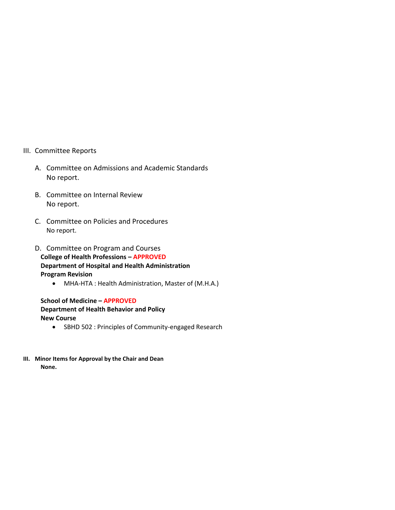- III. Committee Reports
	- A. Committee on Admissions and Academic Standards No report.
	- B. Committee on Internal Review No report.
	- C. Committee on Policies and Procedures No report.
	- D. Committee on Program and Courses **College of Health Professions – APPROVED Department of Hospital and Health Administration Program Revision** 
		- MHA-HTA : Health Administration, Master of (M.H.A.)

**School of Medicine – APPROVED Department of Health Behavior and Policy New Course** 

- SBHD 502 : Principles of Community-engaged Research
- **III. Minor Items for Approval by the Chair and Dean None.**